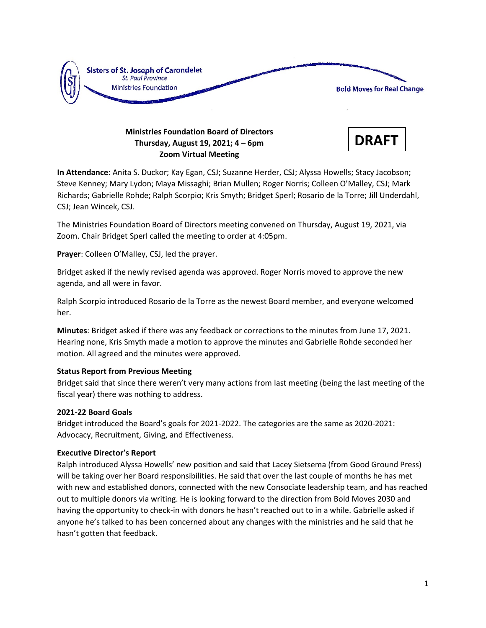

# **Ministries Foundation Board of Directors Thursday, August 19, 2021; 4 – 6pm Zoom Virtual Meeting**



**In Attendance**: Anita S. Duckor; Kay Egan, CSJ; Suzanne Herder, CSJ; Alyssa Howells; Stacy Jacobson; Steve Kenney; Mary Lydon; Maya Missaghi; Brian Mullen; Roger Norris; Colleen O'Malley, CSJ; Mark Richards; Gabrielle Rohde; Ralph Scorpio; Kris Smyth; Bridget Sperl; Rosario de la Torre; Jill Underdahl, CSJ; Jean Wincek, CSJ.

The Ministries Foundation Board of Directors meeting convened on Thursday, August 19, 2021, via Zoom. Chair Bridget Sperl called the meeting to order at 4:05pm.

**Prayer**: Colleen O'Malley, CSJ, led the prayer.

Bridget asked if the newly revised agenda was approved. Roger Norris moved to approve the new agenda, and all were in favor.

Ralph Scorpio introduced Rosario de la Torre as the newest Board member, and everyone welcomed her.

**Minutes**: Bridget asked if there was any feedback or corrections to the minutes from June 17, 2021. Hearing none, Kris Smyth made a motion to approve the minutes and Gabrielle Rohde seconded her motion. All agreed and the minutes were approved.

## **Status Report from Previous Meeting**

Bridget said that since there weren't very many actions from last meeting (being the last meeting of the fiscal year) there was nothing to address.

## **2021-22 Board Goals**

Bridget introduced the Board's goals for 2021-2022. The categories are the same as 2020-2021: Advocacy, Recruitment, Giving, and Effectiveness.

## **Executive Director's Report**

Ralph introduced Alyssa Howells' new position and said that Lacey Sietsema (from Good Ground Press) will be taking over her Board responsibilities. He said that over the last couple of months he has met with new and established donors, connected with the new Consociate leadership team, and has reached out to multiple donors via writing. He is looking forward to the direction from Bold Moves 2030 and having the opportunity to check-in with donors he hasn't reached out to in a while. Gabrielle asked if anyone he's talked to has been concerned about any changes with the ministries and he said that he hasn't gotten that feedback.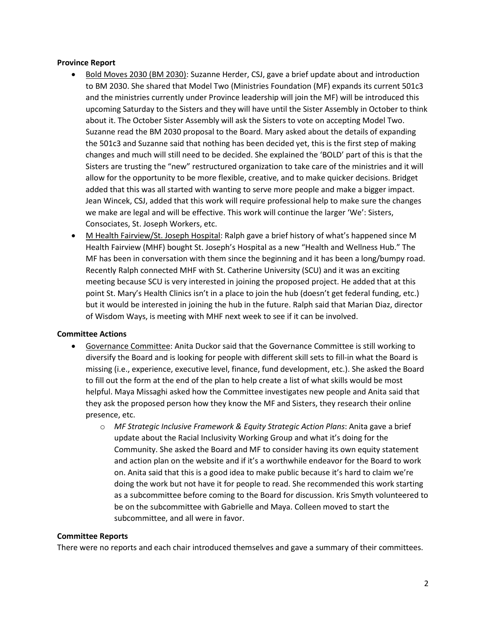## **Province Report**

- Bold Moves 2030 (BM 2030): Suzanne Herder, CSJ, gave a brief update about and introduction to BM 2030. She shared that Model Two (Ministries Foundation (MF) expands its current 501c3 and the ministries currently under Province leadership will join the MF) will be introduced this upcoming Saturday to the Sisters and they will have until the Sister Assembly in October to think about it. The October Sister Assembly will ask the Sisters to vote on accepting Model Two. Suzanne read the BM 2030 proposal to the Board. Mary asked about the details of expanding the 501c3 and Suzanne said that nothing has been decided yet, this is the first step of making changes and much will still need to be decided. She explained the 'BOLD' part of this is that the Sisters are trusting the "new" restructured organization to take care of the ministries and it will allow for the opportunity to be more flexible, creative, and to make quicker decisions. Bridget added that this was all started with wanting to serve more people and make a bigger impact. Jean Wincek, CSJ, added that this work will require professional help to make sure the changes we make are legal and will be effective. This work will continue the larger 'We': Sisters, Consociates, St. Joseph Workers, etc.
- M Health Fairview/St. Joseph Hospital: Ralph gave a brief history of what's happened since M Health Fairview (MHF) bought St. Joseph's Hospital as a new "Health and Wellness Hub." The MF has been in conversation with them since the beginning and it has been a long/bumpy road. Recently Ralph connected MHF with St. Catherine University (SCU) and it was an exciting meeting because SCU is very interested in joining the proposed project. He added that at this point St. Mary's Health Clinics isn't in a place to join the hub (doesn't get federal funding, etc.) but it would be interested in joining the hub in the future. Ralph said that Marian Diaz, director of Wisdom Ways, is meeting with MHF next week to see if it can be involved.

#### **Committee Actions**

- Governance Committee: Anita Duckor said that the Governance Committee is still working to diversify the Board and is looking for people with different skill sets to fill-in what the Board is missing (i.e., experience, executive level, finance, fund development, etc.). She asked the Board to fill out the form at the end of the plan to help create a list of what skills would be most helpful. Maya Missaghi asked how the Committee investigates new people and Anita said that they ask the proposed person how they know the MF and Sisters, they research their online presence, etc.
	- o *MF Strategic Inclusive Framework & Equity Strategic Action Plans*: Anita gave a brief update about the Racial Inclusivity Working Group and what it's doing for the Community. She asked the Board and MF to consider having its own equity statement and action plan on the website and if it's a worthwhile endeavor for the Board to work on. Anita said that this is a good idea to make public because it's hard to claim we're doing the work but not have it for people to read. She recommended this work starting as a subcommittee before coming to the Board for discussion. Kris Smyth volunteered to be on the subcommittee with Gabrielle and Maya. Colleen moved to start the subcommittee, and all were in favor.

#### **Committee Reports**

There were no reports and each chair introduced themselves and gave a summary of their committees.